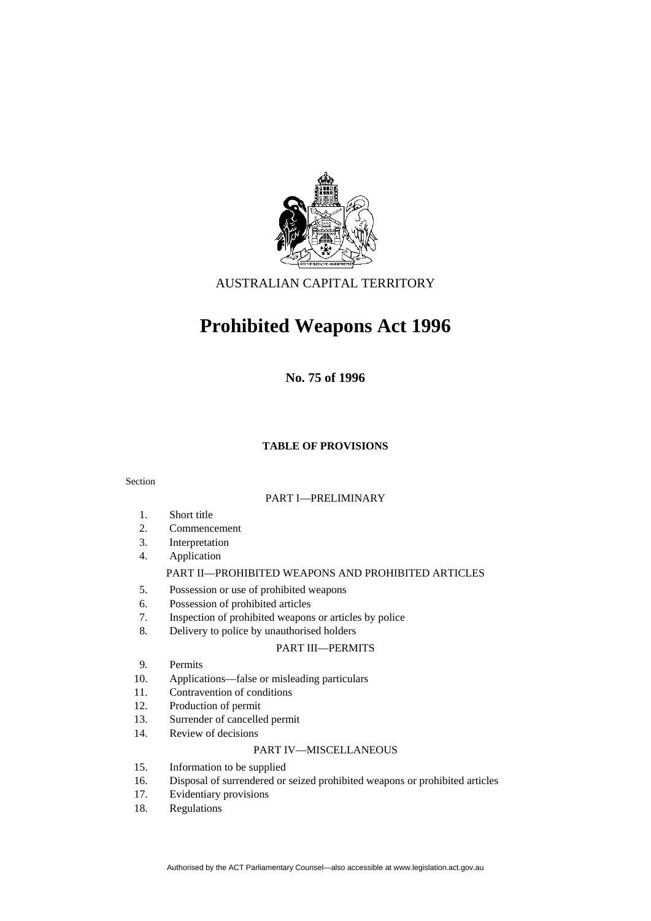

AUSTRALIAN CAPITAL TERRITORY

# **Prohibited Weapons Act 1996**

**No. 75 of 1996** 

#### **TABLE OF PROVISIONS**

#### Section

#### PART I—PRELIMINARY

- 1. Short title
- 2. Commencement
- 3. Interpretation
- 4. Application

#### PART II—PROHIBITED WEAPONS AND PROHIBITED ARTICLES

- 5. Possession or use of prohibited weapons
- 6. Possession of prohibited articles
- 7. Inspection of prohibited weapons or articles by police
- 8. Delivery to police by unauthorised holders

#### PART III—PERMITS

- 9. Permits
- 10. Applications—false or misleading particulars
- 11. Contravention of conditions
- 12. Production of permit
- 13. Surrender of cancelled permit
- 14. Review of decisions

#### PART IV—MISCELLANEOUS

- 15. Information to be supplied
- 16. Disposal of surrendered or seized prohibited weapons or prohibited articles
- 17. Evidentiary provisions
- 18. Regulations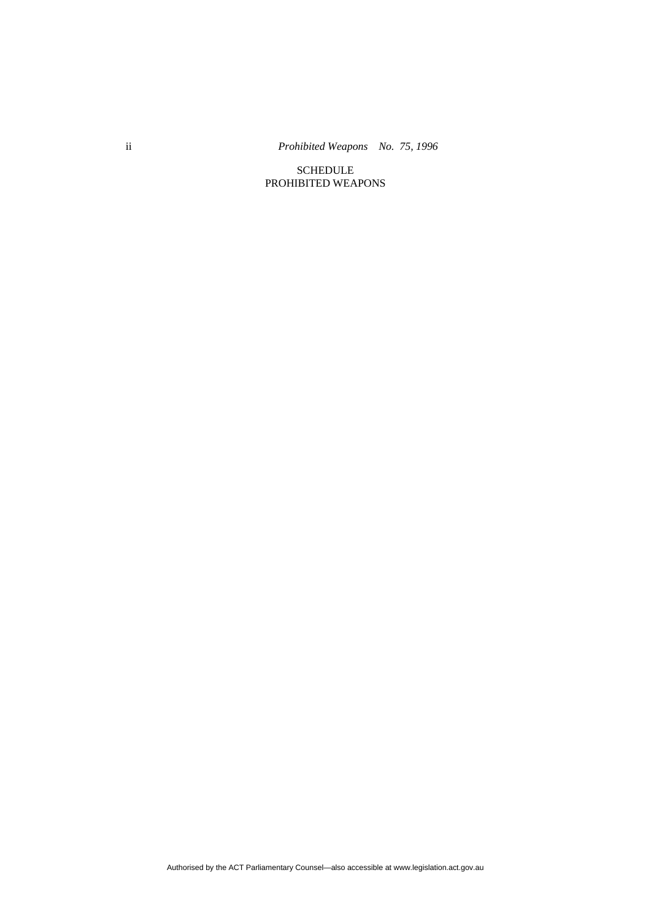ii *Prohibited Weapons No. 75, 1996* 

SCHEDULE PROHIBITED WEAPONS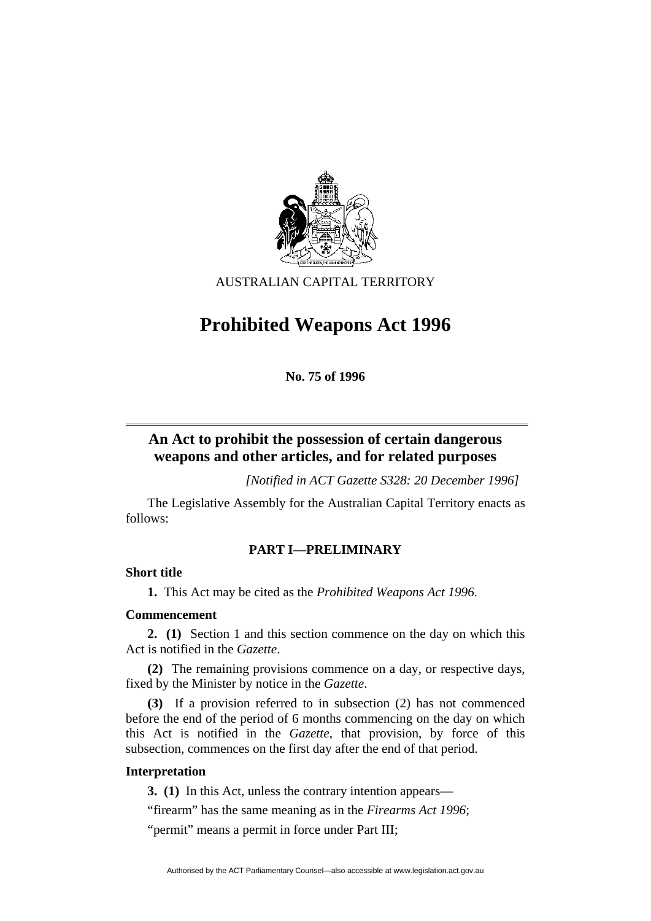

AUSTRALIAN CAPITAL TERRITORY

# **Prohibited Weapons Act 1996**

**No. 75 of 1996** 

## **An Act to prohibit the possession of certain dangerous weapons and other articles, and for related purposes**

*[Notified in ACT Gazette S328: 20 December 1996]*

 The Legislative Assembly for the Australian Capital Territory enacts as follows:

#### **PART I—PRELIMINARY**

#### **Short title**

**1.** This Act may be cited as the *Prohibited Weapons Act 1996.*

#### **Commencement**

**2. (1)** Section 1 and this section commence on the day on which this Act is notified in the *Gazette*.

**(2)** The remaining provisions commence on a day, or respective days, fixed by the Minister by notice in the *Gazette*.

**(3)** If a provision referred to in subsection (2) has not commenced before the end of the period of 6 months commencing on the day on which this Act is notified in the *Gazette*, that provision, by force of this subsection, commences on the first day after the end of that period.

#### **Interpretation**

**3. (1)** In this Act, unless the contrary intention appears—

"firearm" has the same meaning as in the *Firearms Act 1996*;

"permit" means a permit in force under Part III;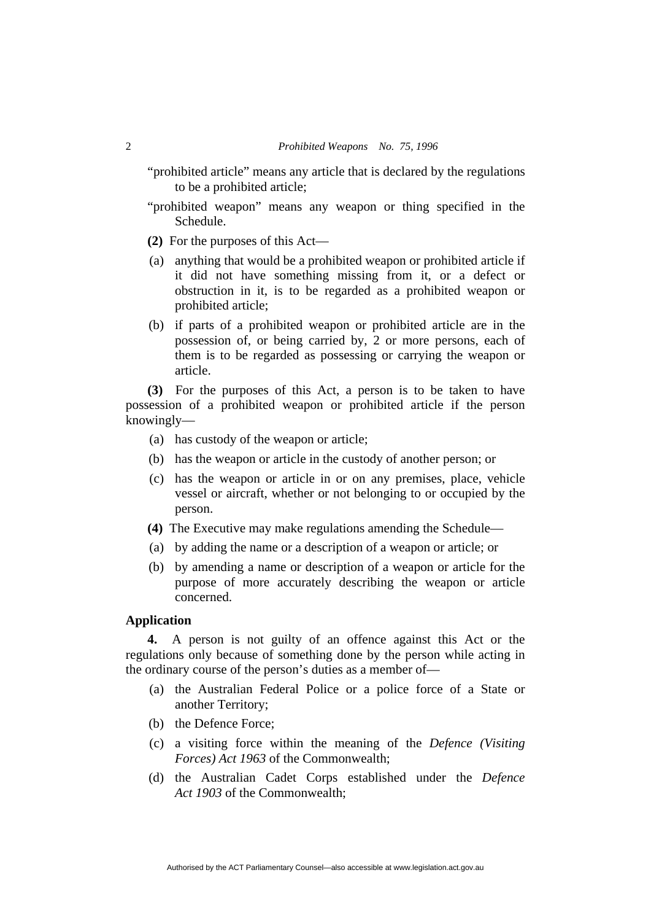"prohibited article" means any article that is declared by the regulations to be a prohibited article;

- "prohibited weapon" means any weapon or thing specified in the Schedule.
- **(2)** For the purposes of this Act—
- (a) anything that would be a prohibited weapon or prohibited article if it did not have something missing from it, or a defect or obstruction in it, is to be regarded as a prohibited weapon or prohibited article;
- (b) if parts of a prohibited weapon or prohibited article are in the possession of, or being carried by, 2 or more persons, each of them is to be regarded as possessing or carrying the weapon or article.

**(3)** For the purposes of this Act, a person is to be taken to have possession of a prohibited weapon or prohibited article if the person knowingly—

- (a) has custody of the weapon or article;
- (b) has the weapon or article in the custody of another person; or
- (c) has the weapon or article in or on any premises, place, vehicle vessel or aircraft, whether or not belonging to or occupied by the person.
- **(4)** The Executive may make regulations amending the Schedule—
- (a) by adding the name or a description of a weapon or article; or
- (b) by amending a name or description of a weapon or article for the purpose of more accurately describing the weapon or article concerned.

#### **Application**

**4.** A person is not guilty of an offence against this Act or the regulations only because of something done by the person while acting in the ordinary course of the person's duties as a member of—

- (a) the Australian Federal Police or a police force of a State or another Territory;
- (b) the Defence Force;
- (c) a visiting force within the meaning of the *Defence (Visiting Forces) Act 1963* of the Commonwealth;
- (d) the Australian Cadet Corps established under the *Defence Act 1903* of the Commonwealth;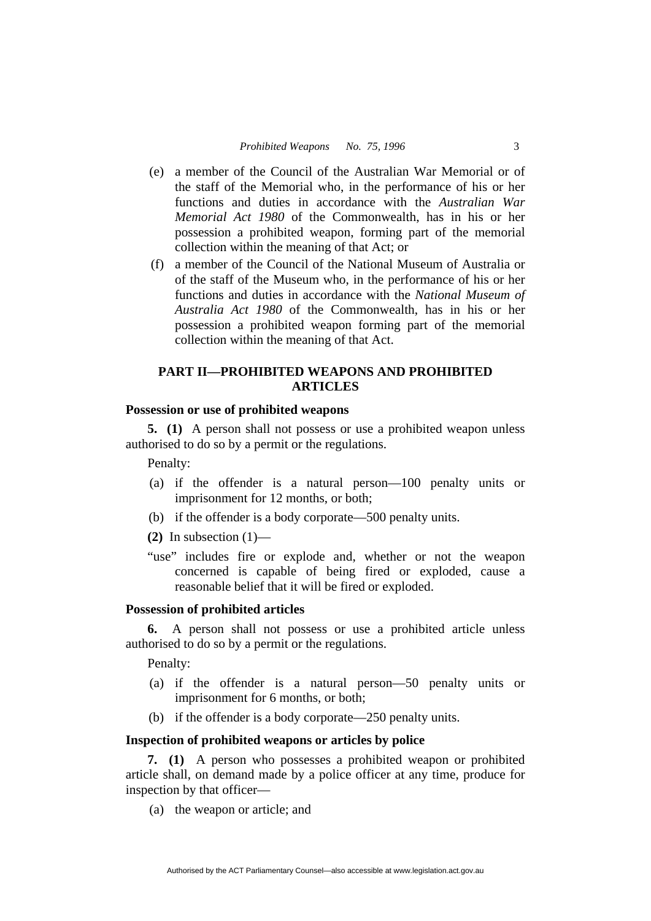- (e) a member of the Council of the Australian War Memorial or of the staff of the Memorial who, in the performance of his or her functions and duties in accordance with the *Australian War Memorial Act 1980* of the Commonwealth, has in his or her possession a prohibited weapon, forming part of the memorial collection within the meaning of that Act; or
- (f) a member of the Council of the National Museum of Australia or of the staff of the Museum who, in the performance of his or her functions and duties in accordance with the *National Museum of Australia Act 1980* of the Commonwealth, has in his or her possession a prohibited weapon forming part of the memorial collection within the meaning of that Act.

#### **PART II—PROHIBITED WEAPONS AND PROHIBITED ARTICLES**

#### **Possession or use of prohibited weapons**

**5. (1)** A person shall not possess or use a prohibited weapon unless authorised to do so by a permit or the regulations.

Penalty:

- (a) if the offender is a natural person—100 penalty units or imprisonment for 12 months, or both;
- (b) if the offender is a body corporate—500 penalty units.

**(2)** In subsection (1)—

"use" includes fire or explode and, whether or not the weapon concerned is capable of being fired or exploded, cause a reasonable belief that it will be fired or exploded.

#### **Possession of prohibited articles**

**6.** A person shall not possess or use a prohibited article unless authorised to do so by a permit or the regulations.

Penalty:

- (a) if the offender is a natural person—50 penalty units or imprisonment for 6 months, or both;
- (b) if the offender is a body corporate—250 penalty units.

#### **Inspection of prohibited weapons or articles by police**

**7. (1)** A person who possesses a prohibited weapon or prohibited article shall, on demand made by a police officer at any time, produce for inspection by that officer—

(a) the weapon or article; and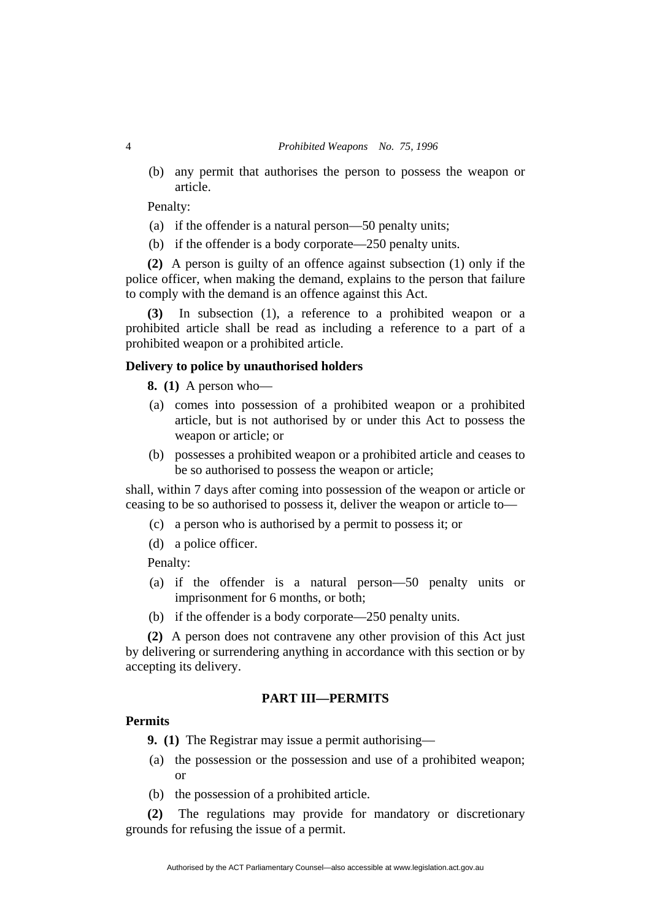(b) any permit that authorises the person to possess the weapon or article.

Penalty:

- (a) if the offender is a natural person—50 penalty units;
- (b) if the offender is a body corporate—250 penalty units.

**(2)** A person is guilty of an offence against subsection (1) only if the police officer, when making the demand, explains to the person that failure to comply with the demand is an offence against this Act.

**(3)** In subsection (1), a reference to a prohibited weapon or a prohibited article shall be read as including a reference to a part of a prohibited weapon or a prohibited article.

#### **Delivery to police by unauthorised holders**

**8. (1)** A person who—

- (a) comes into possession of a prohibited weapon or a prohibited article, but is not authorised by or under this Act to possess the weapon or article; or
- (b) possesses a prohibited weapon or a prohibited article and ceases to be so authorised to possess the weapon or article;

shall, within 7 days after coming into possession of the weapon or article or ceasing to be so authorised to possess it, deliver the weapon or article to—

- (c) a person who is authorised by a permit to possess it; or
- (d) a police officer.

Penalty:

- (a) if the offender is a natural person—50 penalty units or imprisonment for 6 months, or both;
- (b) if the offender is a body corporate—250 penalty units.

**(2)** A person does not contravene any other provision of this Act just by delivering or surrendering anything in accordance with this section or by accepting its delivery.

#### **PART III—PERMITS**

#### **Permits**

**9. (1)** The Registrar may issue a permit authorising—

- (a) the possession or the possession and use of a prohibited weapon; or
- (b) the possession of a prohibited article.

**(2)** The regulations may provide for mandatory or discretionary grounds for refusing the issue of a permit.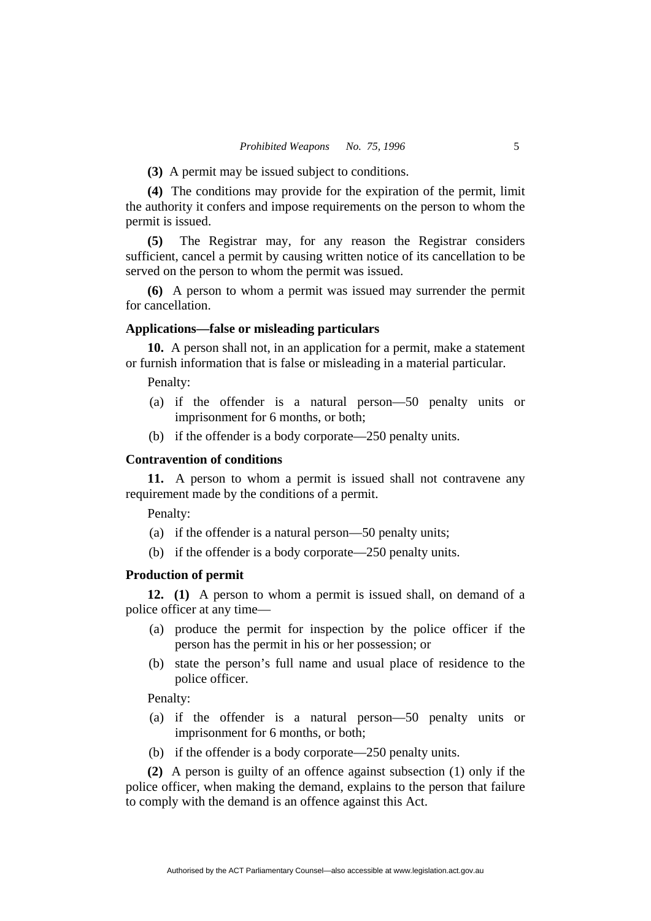**(3)** A permit may be issued subject to conditions.

**(4)** The conditions may provide for the expiration of the permit, limit the authority it confers and impose requirements on the person to whom the permit is issued.

**(5)** The Registrar may, for any reason the Registrar considers sufficient, cancel a permit by causing written notice of its cancellation to be served on the person to whom the permit was issued.

**(6)** A person to whom a permit was issued may surrender the permit for cancellation.

#### **Applications—false or misleading particulars**

**10.** A person shall not, in an application for a permit, make a statement or furnish information that is false or misleading in a material particular.

#### Penalty:

- (a) if the offender is a natural person—50 penalty units or imprisonment for 6 months, or both;
- (b) if the offender is a body corporate—250 penalty units.

#### **Contravention of conditions**

**11.** A person to whom a permit is issued shall not contravene any requirement made by the conditions of a permit.

Penalty:

- (a) if the offender is a natural person—50 penalty units;
- (b) if the offender is a body corporate—250 penalty units.

#### **Production of permit**

**12. (1)** A person to whom a permit is issued shall, on demand of a police officer at any time—

- (a) produce the permit for inspection by the police officer if the person has the permit in his or her possession; or
- (b) state the person's full name and usual place of residence to the police officer.

Penalty:

- (a) if the offender is a natural person—50 penalty units or imprisonment for 6 months, or both;
- (b) if the offender is a body corporate—250 penalty units.

**(2)** A person is guilty of an offence against subsection (1) only if the police officer, when making the demand, explains to the person that failure to comply with the demand is an offence against this Act.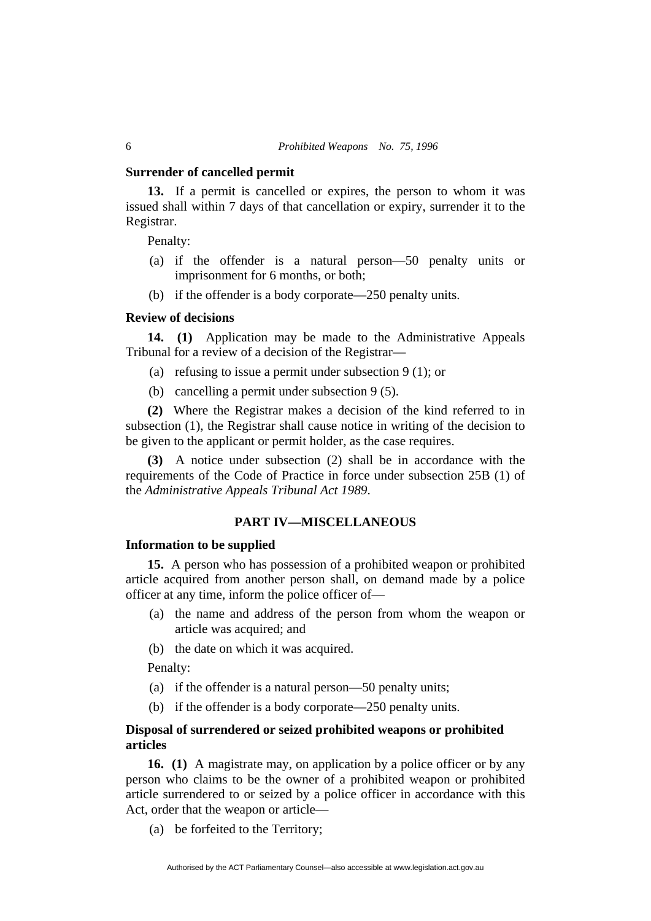#### **Surrender of cancelled permit**

**13.** If a permit is cancelled or expires, the person to whom it was issued shall within 7 days of that cancellation or expiry, surrender it to the Registrar.

Penalty:

- (a) if the offender is a natural person—50 penalty units or imprisonment for 6 months, or both;
- (b) if the offender is a body corporate—250 penalty units.

#### **Review of decisions**

**14. (1)** Application may be made to the Administrative Appeals Tribunal for a review of a decision of the Registrar—

- (a) refusing to issue a permit under subsection 9 (1); or
- (b) cancelling a permit under subsection 9 (5).

**(2)** Where the Registrar makes a decision of the kind referred to in subsection (1), the Registrar shall cause notice in writing of the decision to be given to the applicant or permit holder, as the case requires.

**(3)** A notice under subsection (2) shall be in accordance with the requirements of the Code of Practice in force under subsection 25B (1) of the *Administrative Appeals Tribunal Act 1989*.

#### **PART IV—MISCELLANEOUS**

#### **Information to be supplied**

**15.** A person who has possession of a prohibited weapon or prohibited article acquired from another person shall, on demand made by a police officer at any time, inform the police officer of—

- (a) the name and address of the person from whom the weapon or article was acquired; and
- (b) the date on which it was acquired.

Penalty:

- (a) if the offender is a natural person—50 penalty units;
- (b) if the offender is a body corporate—250 penalty units.

#### **Disposal of surrendered or seized prohibited weapons or prohibited articles**

**16. (1)** A magistrate may, on application by a police officer or by any person who claims to be the owner of a prohibited weapon or prohibited article surrendered to or seized by a police officer in accordance with this Act, order that the weapon or article—

(a) be forfeited to the Territory;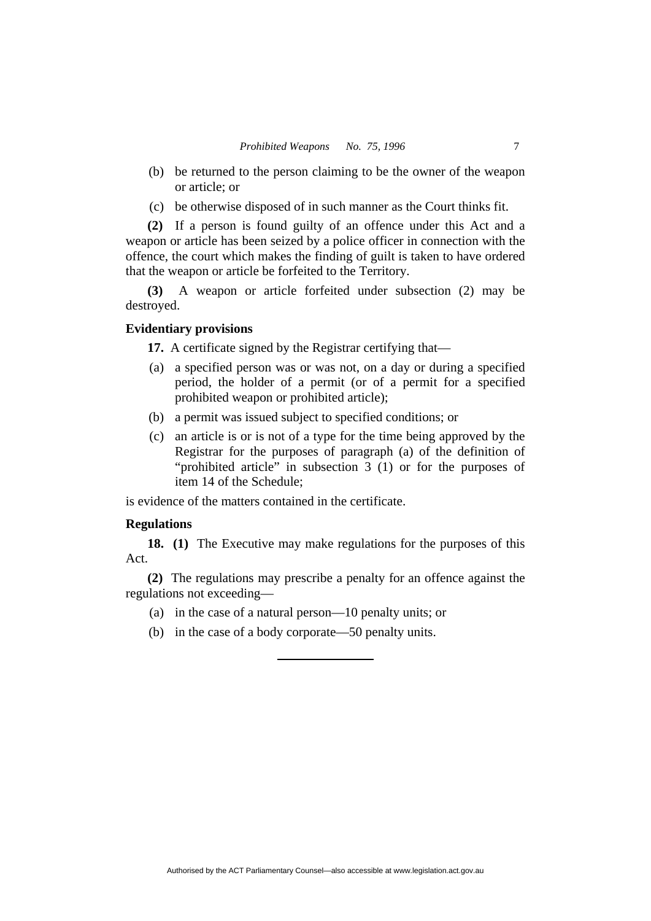- (b) be returned to the person claiming to be the owner of the weapon or article; or
- (c) be otherwise disposed of in such manner as the Court thinks fit.

**(2)** If a person is found guilty of an offence under this Act and a weapon or article has been seized by a police officer in connection with the offence, the court which makes the finding of guilt is taken to have ordered that the weapon or article be forfeited to the Territory.

**(3)** A weapon or article forfeited under subsection (2) may be destroyed.

#### **Evidentiary provisions**

**17.** A certificate signed by the Registrar certifying that—

- (a) a specified person was or was not, on a day or during a specified period, the holder of a permit (or of a permit for a specified prohibited weapon or prohibited article);
- (b) a permit was issued subject to specified conditions; or
- (c) an article is or is not of a type for the time being approved by the Registrar for the purposes of paragraph (a) of the definition of "prohibited article" in subsection 3 (1) or for the purposes of item 14 of the Schedule;

is evidence of the matters contained in the certificate.

#### **Regulations**

**18. (1)** The Executive may make regulations for the purposes of this Act.

**(2)** The regulations may prescribe a penalty for an offence against the regulations not exceeding—

- (a) in the case of a natural person—10 penalty units; or
- (b) in the case of a body corporate—50 penalty units.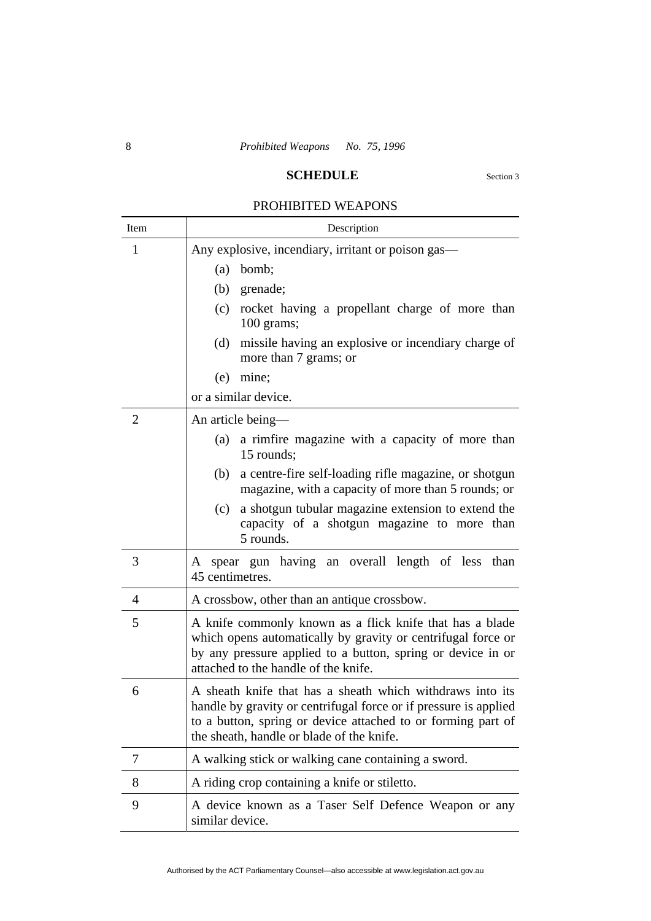#### **SCHEDULE** Section 3

## PROHIBITED WEAPONS

| Item           | Description                                                                                                                                                                                                                                |
|----------------|--------------------------------------------------------------------------------------------------------------------------------------------------------------------------------------------------------------------------------------------|
| 1              | Any explosive, incendiary, irritant or poison gas—                                                                                                                                                                                         |
|                | bomb;<br>(a)                                                                                                                                                                                                                               |
|                | (b)<br>grenade;                                                                                                                                                                                                                            |
|                | rocket having a propellant charge of more than<br>(c)<br>100 grams;                                                                                                                                                                        |
|                | missile having an explosive or incendiary charge of<br>(d)<br>more than 7 grams; or                                                                                                                                                        |
|                | (e)<br>mine;                                                                                                                                                                                                                               |
|                | or a similar device.                                                                                                                                                                                                                       |
| $\overline{2}$ | An article being—                                                                                                                                                                                                                          |
|                | a rimfire magazine with a capacity of more than<br>(a)<br>15 rounds;                                                                                                                                                                       |
|                | a centre-fire self-loading rifle magazine, or shotgun<br>(b)<br>magazine, with a capacity of more than 5 rounds; or                                                                                                                        |
|                | a shotgun tubular magazine extension to extend the<br>(c)<br>capacity of a shotgun magazine to more than<br>5 rounds.                                                                                                                      |
| 3              | spear gun having an overall length of less than<br>A<br>45 centimetres.                                                                                                                                                                    |
| $\overline{4}$ | A crossbow, other than an antique crossbow.                                                                                                                                                                                                |
| 5              | A knife commonly known as a flick knife that has a blade<br>which opens automatically by gravity or centrifugal force or<br>by any pressure applied to a button, spring or device in or<br>attached to the handle of the knife.            |
| 6              | A sheath knife that has a sheath which withdraws into its<br>handle by gravity or centrifugal force or if pressure is applied<br>to a button, spring or device attached to or forming part of<br>the sheath, handle or blade of the knife. |
| 7              | A walking stick or walking cane containing a sword.                                                                                                                                                                                        |
| 8              | A riding crop containing a knife or stiletto.                                                                                                                                                                                              |
| 9              | A device known as a Taser Self Defence Weapon or any<br>similar device.                                                                                                                                                                    |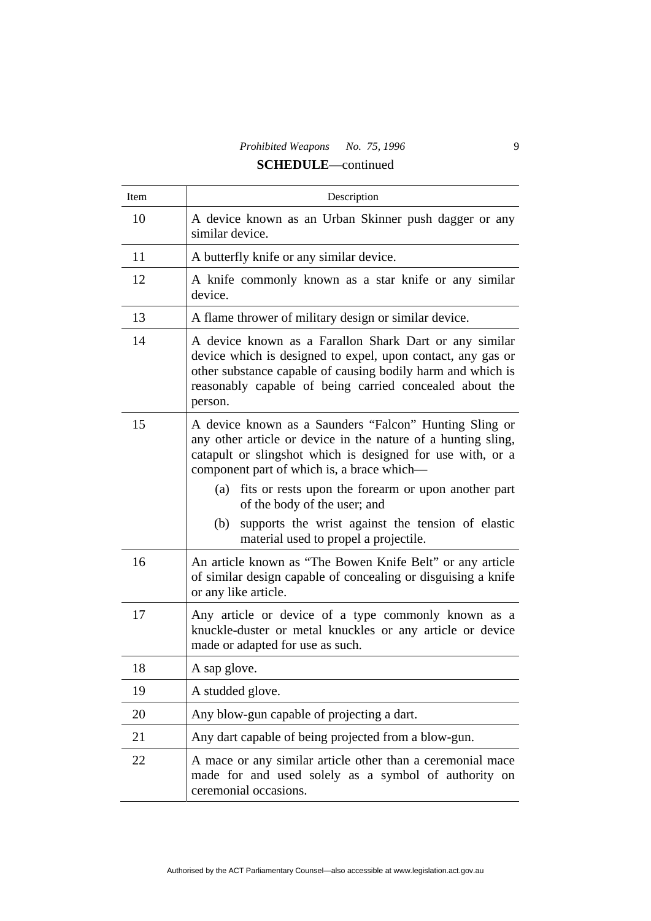# *Prohibited Weapons No. 75, 1996* 9

## **SCHEDULE**—continued

| Item | Description                                                                                                                                                                                                                                                                                                                       |
|------|-----------------------------------------------------------------------------------------------------------------------------------------------------------------------------------------------------------------------------------------------------------------------------------------------------------------------------------|
| 10   | A device known as an Urban Skinner push dagger or any<br>similar device.                                                                                                                                                                                                                                                          |
| 11   | A butterfly knife or any similar device.                                                                                                                                                                                                                                                                                          |
| 12   | A knife commonly known as a star knife or any similar<br>device.                                                                                                                                                                                                                                                                  |
| 13   | A flame thrower of military design or similar device.                                                                                                                                                                                                                                                                             |
| 14   | A device known as a Farallon Shark Dart or any similar<br>device which is designed to expel, upon contact, any gas or<br>other substance capable of causing bodily harm and which is<br>reasonably capable of being carried concealed about the<br>person.                                                                        |
| 15   | A device known as a Saunders "Falcon" Hunting Sling or<br>any other article or device in the nature of a hunting sling,<br>catapult or slingshot which is designed for use with, or a<br>component part of which is, a brace which—<br>fits or rests upon the forearm or upon another part<br>(a)<br>of the body of the user; and |
|      | supports the wrist against the tension of elastic<br>(b)<br>material used to propel a projectile.                                                                                                                                                                                                                                 |
| 16   | An article known as "The Bowen Knife Belt" or any article<br>of similar design capable of concealing or disguising a knife<br>or any like article.                                                                                                                                                                                |
| 17   | Any article or device of a type commonly known as a<br>knuckle-duster or metal knuckles or any article or device<br>made or adapted for use as such.                                                                                                                                                                              |
| 18   | A sap glove.                                                                                                                                                                                                                                                                                                                      |
| 19   | A studded glove.                                                                                                                                                                                                                                                                                                                  |
| 20   | Any blow-gun capable of projecting a dart.                                                                                                                                                                                                                                                                                        |
| 21   | Any dart capable of being projected from a blow-gun.                                                                                                                                                                                                                                                                              |
| 22   | A mace or any similar article other than a ceremonial mace<br>made for and used solely as a symbol of authority on<br>ceremonial occasions.                                                                                                                                                                                       |